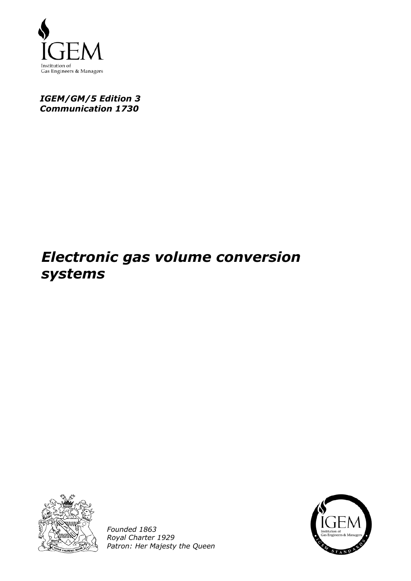

# *IGEM/GM/5 Edition 3 Communication 1730*

# *Electronic gas volume conversion systems*



*Founded 1863 Royal Charter 1929 Patron: Her Majesty the Queen* 

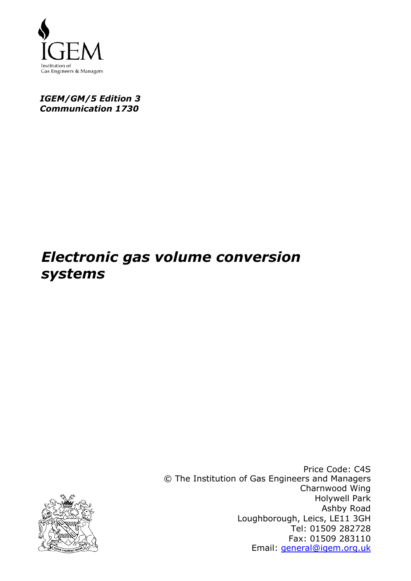

# *IGEM/GM/5 Edition 3 Communication 1730*

# *Electronic gas volume conversion systems*



Price Code: C4S © The Institution of Gas Engineers and Managers Charnwood Wing Holywell Park Ashby Road Loughborough, Leics, LE11 3GH Tel: 01509 282728 Fax: 01509 283110 Email: general@igem.org.uk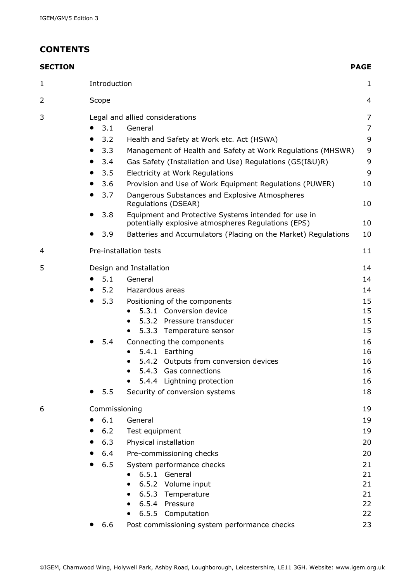# **CONTENTS**

| <b>SECTION</b> |           |               |                                                                                                             | <b>PAGE</b>    |
|----------------|-----------|---------------|-------------------------------------------------------------------------------------------------------------|----------------|
| 1              |           | Introduction  |                                                                                                             | $\mathbf{1}$   |
| 2              |           | Scope         |                                                                                                             | 4              |
| 3              |           |               | Legal and allied considerations                                                                             | 7              |
|                | 0         | 3.1           | General                                                                                                     | $\overline{7}$ |
|                | $\bullet$ | 3.2           | Health and Safety at Work etc. Act (HSWA)                                                                   | 9              |
|                | $\bullet$ | 3.3           | Management of Health and Safety at Work Regulations (MHSWR)                                                 | 9              |
|                |           | 3.4           | Gas Safety (Installation and Use) Regulations (GS(I&U)R)                                                    | 9              |
|                | $\bullet$ | 3.5           | Electricity at Work Regulations                                                                             | 9              |
|                | $\bullet$ | 3.6           | Provision and Use of Work Equipment Regulations (PUWER)                                                     | 10             |
|                |           | 3.7           | Dangerous Substances and Explosive Atmospheres<br>Regulations (DSEAR)                                       | 10             |
|                |           | 3.8           | Equipment and Protective Systems intended for use in<br>potentially explosive atmospheres Regulations (EPS) | 10             |
|                |           | 3.9           | Batteries and Accumulators (Placing on the Market) Regulations                                              | 10             |
| 4              |           |               | Pre-installation tests                                                                                      | 11             |
| 5              |           |               | Design and Installation                                                                                     | 14             |
|                | $\bullet$ | 5.1           | General                                                                                                     | 14             |
|                |           | 5.2           | Hazardous areas                                                                                             | 14             |
|                |           | 5.3           | Positioning of the components                                                                               | 15             |
|                |           |               | 5.3.1 Conversion device                                                                                     | 15             |
|                |           |               | 5.3.2 Pressure transducer                                                                                   | 15             |
|                |           |               | 5.3.3 Temperature sensor                                                                                    | 15             |
|                |           | 5.4           | Connecting the components                                                                                   | 16             |
|                |           |               | 5.4.1 Earthing<br>5.4.2 Outputs from conversion devices                                                     | 16<br>16       |
|                |           |               | 5.4.3 Gas connections                                                                                       | 16             |
|                |           |               | 5.4.4 Lightning protection                                                                                  | 16             |
|                |           | 5.5           | Security of conversion systems                                                                              | 18             |
| 6              |           | Commissioning |                                                                                                             | 19             |
|                | $\bullet$ | 6.1           | General                                                                                                     | 19             |
|                |           | 6.2           | Test equipment                                                                                              | 19             |
|                |           | 6.3           | Physical installation                                                                                       | 20             |
|                |           | 6.4           | Pre-commissioning checks                                                                                    | 20             |
|                | $\bullet$ | 6.5           | System performance checks                                                                                   | 21             |
|                |           |               | 6.5.1 General                                                                                               | 21             |
|                |           |               | 6.5.2 Volume input                                                                                          | 21             |
|                |           |               | 6.5.3 Temperature                                                                                           | 21             |
|                |           |               | 6.5.4 Pressure                                                                                              | 22             |
|                |           |               | 6.5.5<br>Computation                                                                                        | 22             |
|                |           | 6.6           | Post commissioning system performance checks                                                                | 23             |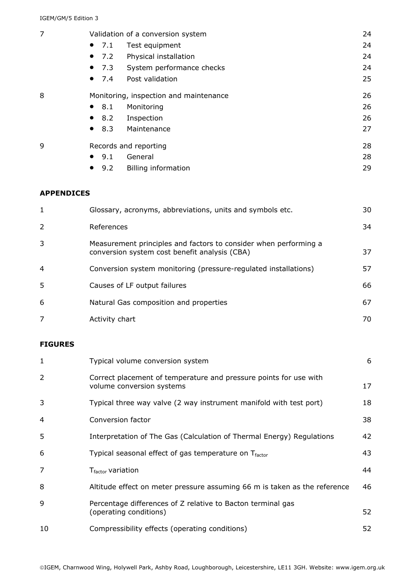| 7                 | Validation of a conversion system      |                                                           | 24 |
|-------------------|----------------------------------------|-----------------------------------------------------------|----|
|                   | 7.1<br>$\bullet$                       | Test equipment                                            | 24 |
|                   | 7.2<br>$\bullet$                       | Physical installation                                     | 24 |
|                   | 7.3<br>$\bullet$                       | System performance checks                                 | 24 |
|                   | 7.4<br>$\bullet$                       | Post validation                                           | 25 |
| 8                 | Monitoring, inspection and maintenance |                                                           |    |
|                   | 8.1<br>$\bullet$                       | Monitoring                                                | 26 |
|                   | 8.2<br>$\bullet$                       | Inspection                                                | 26 |
|                   | 8.3<br>$\bullet$                       | Maintenance                                               | 27 |
| 9                 | Records and reporting                  | 28                                                        |    |
|                   | 9.1<br>$\bullet$                       | General                                                   | 28 |
|                   | 9.2<br>$\bullet$                       | <b>Billing information</b>                                | 29 |
| <b>APPENDICES</b> |                                        |                                                           |    |
| 1                 |                                        | Glossary, acronyms, abbreviations, units and symbols etc. | 30 |
| $\overline{2}$    | References                             |                                                           | 34 |

| 3 | Measurement principles and factors to consider when performing a<br>conversion system cost benefit analysis (CBA) | 37 |
|---|-------------------------------------------------------------------------------------------------------------------|----|
| 4 | Conversion system monitoring (pressure-regulated installations)                                                   | 57 |
| 5 | Causes of LF output failures                                                                                      | 66 |
| 6 | Natural Gas composition and properties                                                                            | 67 |
|   | Activity chart                                                                                                    |    |

### **FIGURES**

| 1              | Typical volume conversion system                                                               | 6  |
|----------------|------------------------------------------------------------------------------------------------|----|
| $\overline{2}$ | Correct placement of temperature and pressure points for use with<br>volume conversion systems | 17 |
| 3              | Typical three way valve (2 way instrument manifold with test port)                             | 18 |
| 4              | Conversion factor                                                                              | 38 |
| 5              | Interpretation of The Gas (Calculation of Thermal Energy) Regulations                          | 42 |
| 6              | Typical seasonal effect of gas temperature on $T_{\text{factor}}$                              | 43 |
| 7              | T <sub>factor</sub> variation                                                                  | 44 |
| 8              | Altitude effect on meter pressure assuming 66 m is taken as the reference                      | 46 |
| 9              | Percentage differences of Z relative to Bacton terminal gas<br>(operating conditions)          | 52 |
| 10             | Compressibility effects (operating conditions)                                                 | 52 |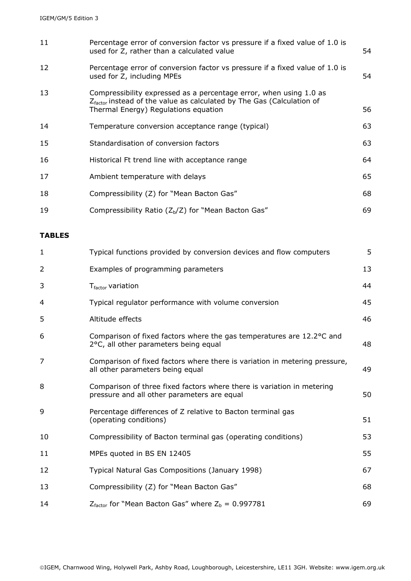| 11 | Percentage error of conversion factor vs pressure if a fixed value of 1.0 is<br>used for Z, rather than a calculated value                                                                      | 54 |
|----|-------------------------------------------------------------------------------------------------------------------------------------------------------------------------------------------------|----|
| 12 | Percentage error of conversion factor vs pressure if a fixed value of 1.0 is<br>used for Z, including MPEs                                                                                      | 54 |
| 13 | Compressibility expressed as a percentage error, when using 1.0 as<br>$Z_{\text{factor}}$ instead of the value as calculated by The Gas (Calculation of<br>Thermal Energy) Regulations equation | 56 |
| 14 | Temperature conversion acceptance range (typical)                                                                                                                                               | 63 |
| 15 | Standardisation of conversion factors                                                                                                                                                           | 63 |
| 16 | Historical Ft trend line with acceptance range                                                                                                                                                  | 64 |
| 17 | Ambient temperature with delays                                                                                                                                                                 | 65 |
| 18 | Compressibility (Z) for "Mean Bacton Gas"                                                                                                                                                       | 68 |
| 19 | Compressibility Ratio ( $Z_b/Z$ ) for "Mean Bacton Gas"                                                                                                                                         | 69 |

### **TABLES**

| $\mathbf{1}$   | Typical functions provided by conversion devices and flow computers                                                   | 5 <sup>1</sup> |
|----------------|-----------------------------------------------------------------------------------------------------------------------|----------------|
| $\overline{2}$ | Examples of programming parameters                                                                                    | 13             |
| 3              | T <sub>factor</sub> variation                                                                                         | 44             |
| 4              | Typical regulator performance with volume conversion                                                                  | 45             |
| 5              | Altitude effects                                                                                                      | 46             |
| 6              | Comparison of fixed factors where the gas temperatures are 12.2 °C and<br>2°C, all other parameters being equal       | 48             |
| 7              | Comparison of fixed factors where there is variation in metering pressure,<br>all other parameters being equal        | 49             |
| 8              | Comparison of three fixed factors where there is variation in metering<br>pressure and all other parameters are equal | 50             |
| 9              | Percentage differences of Z relative to Bacton terminal gas<br>(operating conditions)                                 | 51             |
| 10             | Compressibility of Bacton terminal gas (operating conditions)                                                         | 53             |
| 11             | MPEs quoted in BS EN 12405                                                                                            | 55             |
| 12             | Typical Natural Gas Compositions (January 1998)                                                                       | 67             |
| 13             | Compressibility (Z) for "Mean Bacton Gas"                                                                             | 68             |
| 14             | $Z_{\text{factor}}$ for "Mean Bacton Gas" where $Z_{\text{b}} = 0.997781$                                             | 69             |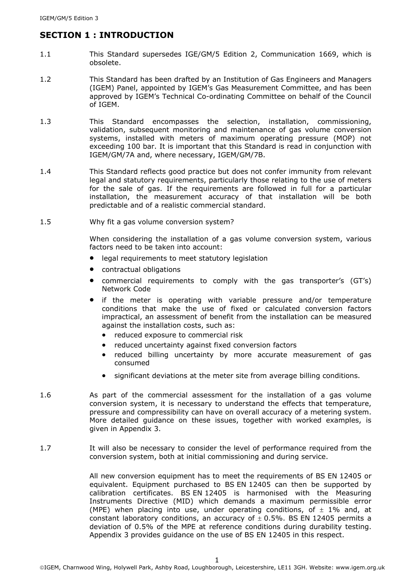# **SECTION 1 : INTRODUCTION**

- 1.1 This Standard supersedes IGE/GM/5 Edition 2, Communication 1669, which is obsolete.
- 1.2 This Standard has been drafted by an Institution of Gas Engineers and Managers (IGEM) Panel, appointed by IGEM's Gas Measurement Committee, and has been approved by IGEM's Technical Co-ordinating Committee on behalf of the Council of IGEM.
- 1.3 This Standard encompasses the selection, installation, commissioning, validation, subsequent monitoring and maintenance of gas volume conversion systems, installed with meters of maximum operating pressure (MOP) not exceeding 100 bar. It is important that this Standard is read in conjunction with IGEM/GM/7A and, where necessary, IGEM/GM/7B.
- 1.4 This Standard reflects good practice but does not confer immunity from relevant legal and statutory requirements, particularly those relating to the use of meters for the sale of gas. If the requirements are followed in full for a particular installation, the measurement accuracy of that installation will be both predictable and of a realistic commercial standard.
- 1.5 Why fit a gas volume conversion system?

When considering the installation of a gas volume conversion system, various factors need to be taken into account:

- legal requirements to meet statutory legislation
- contractual obligations
- commercial requirements to comply with the gas transporter's (GT's) Network Code
- if the meter is operating with variable pressure and/or temperature conditions that make the use of fixed or calculated conversion factors impractical, an assessment of benefit from the installation can be measured against the installation costs, such as:
	- reduced exposure to commercial risk
	- reduced uncertainty against fixed conversion factors
	- reduced billing uncertainty by more accurate measurement of gas consumed
	- significant deviations at the meter site from average billing conditions.
- 1.6 As part of the commercial assessment for the installation of a gas volume conversion system, it is necessary to understand the effects that temperature, pressure and compressibility can have on overall accuracy of a metering system. More detailed guidance on these issues, together with worked examples, is given in Appendix 3.
- 1.7 It will also be necessary to consider the level of performance required from the conversion system, both at initial commissioning and during service.

All new conversion equipment has to meet the requirements of BS EN 12405 or equivalent. Equipment purchased to BS EN 12405 can then be supported by calibration certificates. BS EN 12405 is harmonised with the Measuring Instruments Directive (MID) which demands a maximum permissible error (MPE) when placing into use, under operating conditions, of  $\pm$  1% and, at constant laboratory conditions, an accuracy of  $\pm$  0.5%. BS EN 12405 permits a deviation of 0.5% of the MPE at reference conditions during durability testing. Appendix 3 provides guidance on the use of BS EN 12405 in this respect.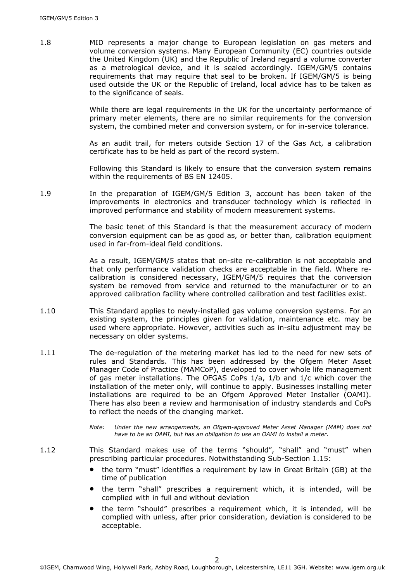1.8 MID represents a major change to European legislation on gas meters and volume conversion systems. Many European Community (EC) countries outside the United Kingdom (UK) and the Republic of Ireland regard a volume converter as a metrological device, and it is sealed accordingly. IGEM/GM/5 contains requirements that may require that seal to be broken. If IGEM/GM/5 is being used outside the UK or the Republic of Ireland, local advice has to be taken as to the significance of seals.

> While there are legal requirements in the UK for the uncertainty performance of primary meter elements, there are no similar requirements for the conversion system, the combined meter and conversion system, or for in-service tolerance.

> As an audit trail, for meters outside Section 17 of the Gas Act, a calibration certificate has to be held as part of the record system.

> Following this Standard is likely to ensure that the conversion system remains within the requirements of BS EN 12405.

1.9 In the preparation of IGEM/GM/5 Edition 3, account has been taken of the improvements in electronics and transducer technology which is reflected in improved performance and stability of modern measurement systems.

> The basic tenet of this Standard is that the measurement accuracy of modern conversion equipment can be as good as, or better than, calibration equipment used in far-from-ideal field conditions.

> As a result, IGEM/GM/5 states that on-site re-calibration is not acceptable and that only performance validation checks are acceptable in the field. Where recalibration is considered necessary, IGEM/GM/5 requires that the conversion system be removed from service and returned to the manufacturer or to an approved calibration facility where controlled calibration and test facilities exist.

- 1.10 This Standard applies to newly-installed gas volume conversion systems. For an existing system, the principles given for validation, maintenance etc. may be used where appropriate. However, activities such as in-situ adjustment may be necessary on older systems.
- 1.11 The de-regulation of the metering market has led to the need for new sets of rules and Standards. This has been addressed by the Ofgem Meter Asset Manager Code of Practice (MAMCoP), developed to cover whole life management of gas meter installations. The OFGAS CoPs 1/a, 1/b and 1/c which cover the installation of the meter only, will continue to apply. Businesses installing meter installations are required to be an Ofgem Approved Meter Installer (OAMI). There has also been a review and harmonisation of industry standards and CoPs to reflect the needs of the changing market.
	- *Note: Under the new arrangements, an Ofgem-approved Meter Asset Manager (MAM) does not have to be an OAMI, but has an obligation to use an OAMI to install a meter.*
- 1.12 This Standard makes use of the terms "should", "shall" and "must" when prescribing particular procedures. Notwithstanding Sub-Section 1.15:
	- the term "must" identifies a requirement by law in Great Britain (GB) at the time of publication
	- the term "shall" prescribes a requirement which, it is intended, will be complied with in full and without deviation
	- the term "should" prescribes a requirement which, it is intended, will be complied with unless, after prior consideration, deviation is considered to be acceptable.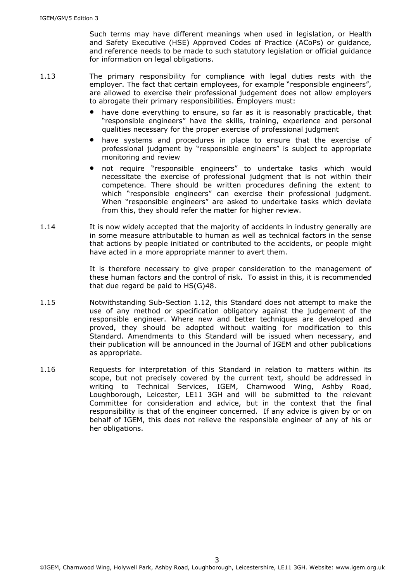Such terms may have different meanings when used in legislation, or Health and Safety Executive (HSE) Approved Codes of Practice (ACoPs) or guidance, and reference needs to be made to such statutory legislation or official guidance for information on legal obligations.

- 1.13 The primary responsibility for compliance with legal duties rests with the employer. The fact that certain employees, for example "responsible engineers", are allowed to exercise their professional judgement does not allow employers to abrogate their primary responsibilities. Employers must:
	- have done everything to ensure, so far as it is reasonably practicable, that "responsible engineers" have the skills, training, experience and personal qualities necessary for the proper exercise of professional judgment
	- have systems and procedures in place to ensure that the exercise of professional judgment by "responsible engineers" is subject to appropriate monitoring and review
	- not require "responsible engineers" to undertake tasks which would necessitate the exercise of professional judgment that is not within their competence. There should be written procedures defining the extent to which "responsible engineers" can exercise their professional judgment. When "responsible engineers" are asked to undertake tasks which deviate from this, they should refer the matter for higher review.
- 1.14 It is now widely accepted that the majority of accidents in industry generally are in some measure attributable to human as well as technical factors in the sense that actions by people initiated or contributed to the accidents, or people might have acted in a more appropriate manner to avert them.

It is therefore necessary to give proper consideration to the management of these human factors and the control of risk. To assist in this, it is recommended that due regard be paid to HS(G)48.

- 1.15 Notwithstanding Sub-Section 1.12, this Standard does not attempt to make the use of any method or specification obligatory against the judgement of the responsible engineer. Where new and better techniques are developed and proved, they should be adopted without waiting for modification to this Standard. Amendments to this Standard will be issued when necessary, and their publication will be announced in the Journal of IGEM and other publications as appropriate.
- 1.16 Requests for interpretation of this Standard in relation to matters within its scope, but not precisely covered by the current text, should be addressed in writing to Technical Services, IGEM, Charnwood Wing, Ashby Road, Loughborough, Leicester, LE11 3GH and will be submitted to the relevant Committee for consideration and advice, but in the context that the final responsibility is that of the engineer concerned. If any advice is given by or on behalf of IGEM, this does not relieve the responsible engineer of any of his or her obligations.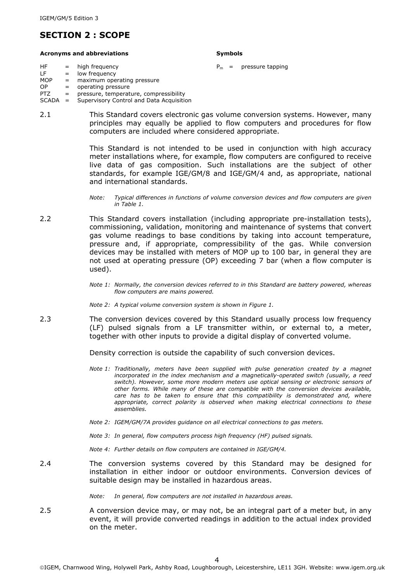# **SECTION 2 : SCOPE**

#### Acronyms and abbreviations **Symbols** Symbols

- HF  $=$  high frequency  $P_m =$  pressure tapping<br>LF  $=$  low frequency  $LF = low frequency$ <br> $MOP = maximum one$
- = maximum operating pressure
- $OP = operating pressure$ PTZ = pressure, temperature, compressibility
- SCADA = Supervisory Control and Data Acquisition
- 2.1 This Standard covers electronic gas volume conversion systems. However, many principles may equally be applied to flow computers and procedures for flow computers are included where considered appropriate.

This Standard is not intended to be used in conjunction with high accuracy meter installations where, for example, flow computers are configured to receive live data of gas composition. Such installations are the subject of other standards, for example IGE/GM/8 and IGE/GM/4 and, as appropriate, national and international standards.

- 2.2 This Standard covers installation (including appropriate pre-installation tests), commissioning, validation, monitoring and maintenance of systems that convert gas volume readings to base conditions by taking into account temperature, pressure and, if appropriate, compressibility of the gas. While conversion devices may be installed with meters of MOP up to 100 bar, in general they are not used at operating pressure (OP) exceeding 7 bar (when a flow computer is used).
	- *Note 1: Normally, the conversion devices referred to in this Standard are battery powered, whereas flow computers are mains powered.*
	- *Note 2: A typical volume conversion system is shown in Figure 1.*
- 2.3 The conversion devices covered by this Standard usually process low frequency (LF) pulsed signals from a LF transmitter within, or external to, a meter, together with other inputs to provide a digital display of converted volume.

Density correction is outside the capability of such conversion devices.

- *Note 1: Traditionally, meters have been supplied with pulse generation created by a magnet incorporated in the index mechanism and a magnetically-operated switch (usually, a reed switch). However, some more modern meters use optical sensing or electronic sensors of other forms. While many of these are compatible with the conversion devices available, care has to be taken to ensure that this compatibility is demonstrated and, where appropriate, correct polarity is observed when making electrical connections to these assemblies.*
- *Note 2: IGEM/GM/7A provides guidance on all electrical connections to gas meters.*
- *Note 3: In general, flow computers process high frequency (HF) pulsed signals.*

*Note 4: Further details on flow computers are contained in IGE/GM/4.* 

2.4 The conversion systems covered by this Standard may be designed for installation in either indoor or outdoor environments. Conversion devices of suitable design may be installed in hazardous areas.

*Note: In general, flow computers are not installed in hazardous areas.* 

2.5 A conversion device may, or may not, be an integral part of a meter but, in any event, it will provide converted readings in addition to the actual index provided on the meter.

*Note: Typical differences in functions of volume conversion devices and flow computers are given in Table 1.*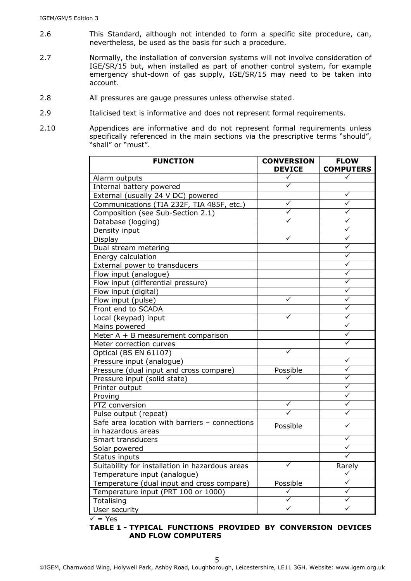- 2.6 This Standard, although not intended to form a specific site procedure, can, nevertheless, be used as the basis for such a procedure.
- 2.7 Normally, the installation of conversion systems will not involve consideration of IGE/SR/15 but, when installed as part of another control system, for example emergency shut-down of gas supply, IGE/SR/15 may need to be taken into account.
- 2.8 All pressures are gauge pressures unless otherwise stated.
- 2.9 Italicised text is informative and does not represent formal requirements.
- 2.10 Appendices are informative and do not represent formal requirements unless specifically referenced in the main sections via the prescriptive terms "should", "shall" or "must".

| <b>FUNCTION</b>                                 | <b>CONVERSION</b><br><b>DEVICE</b> | <b>FLOW</b><br><b>COMPUTERS</b> |
|-------------------------------------------------|------------------------------------|---------------------------------|
| Alarm outputs                                   | ✓                                  | ✓                               |
| Internal battery powered                        | ✓                                  |                                 |
| External (usually 24 V DC) powered              |                                    | ✓                               |
| Communications (TIA 232F, TIA 485F, etc.)       | ✓                                  | $\checkmark$                    |
| Composition (see Sub-Section 2.1)               | $\checkmark$                       | ✓                               |
| Database (logging)                              | ✓                                  | ✓                               |
| Density input                                   |                                    | ✓                               |
| Display                                         | ✓                                  | ✓                               |
| Dual stream metering                            |                                    | ✓                               |
| Energy calculation                              |                                    | $\checkmark$                    |
| External power to transducers                   |                                    | ✓                               |
| Flow input (analogue)                           |                                    | ✓                               |
| Flow input (differential pressure)              |                                    | ✓                               |
| Flow input (digital)                            |                                    | ✓                               |
| Flow input (pulse)                              | ✓                                  | ✓                               |
| Front end to SCADA                              |                                    | ✓                               |
| Local (keypad) input                            | ✓                                  | $\checkmark$                    |
| Mains powered                                   |                                    | ✓                               |
| Meter $A + B$ measurement comparison            |                                    | ✓                               |
| Meter correction curves                         |                                    | $\checkmark$                    |
| Optical (BS EN 61107)                           | $\checkmark$                       |                                 |
| Pressure input (analogue)                       |                                    | ✓                               |
| Pressure (dual input and cross compare)         | Possible                           | ✓                               |
| Pressure input (solid state)                    |                                    | ✓                               |
| Printer output                                  |                                    | ✓                               |
| Proving                                         |                                    | ✓                               |
| PTZ conversion                                  | ✓                                  | ✓                               |
| Pulse output (repeat)                           | ✓                                  | $\checkmark$                    |
| Safe area location with barriers - connections  | Possible                           | $\checkmark$                    |
| in hazardous areas                              |                                    |                                 |
| Smart transducers                               |                                    | ✓                               |
| Solar powered                                   |                                    | ✓                               |
| Status inputs                                   |                                    | ✓                               |
| Suitability for installation in hazardous areas | ✓                                  | Rarely                          |
| Temperature input (analogue)                    |                                    | ✓                               |
| Temperature (dual input and cross compare)      | Possible                           | ✓                               |
| Temperature input (PRT 100 or 1000)             | ✓                                  | ✓                               |
| Totalising                                      | $\checkmark$                       | ✓                               |
| User security                                   | ✓                                  | ✓                               |

 $\overline{v}$  = Yes

#### **TABLE 1 - TYPICAL FUNCTIONS PROVIDED BY CONVERSION DEVICES AND FLOW COMPUTERS**